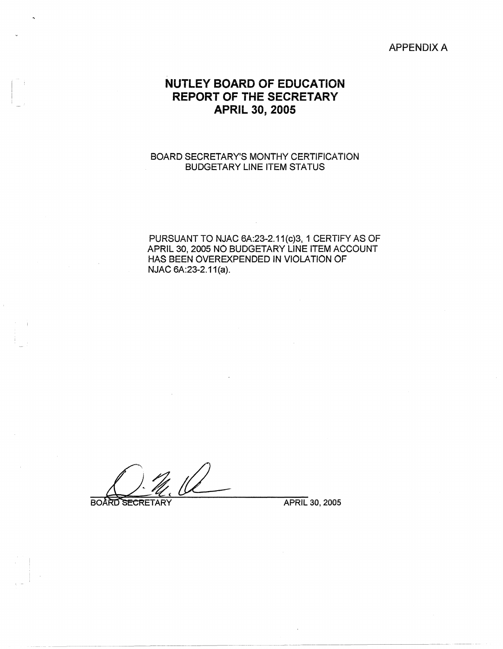## APPENDIX A

## **NUTLEY BOARD OF EDUCATION REPORT OF THE SECRETARY APRIL 30, 2005**

## BOARD SECRETARY'S MONTHY CERTIFICATION BUDGETARY LINE ITEM STATUS

PURSUANT TO NJAC 6A:23-2.11(c)3, 1 CERTIFY AS OF APRIL 30, 2005 NO BUDGETARY LINE ITEM ACCOUNT HAS BEEN OVEREXPENDED IN VIOLATION OF NJAC 6A:23-2.11(a).

**BOARD SECRETARY** 

,, - *i* 

APRIL 30, 2005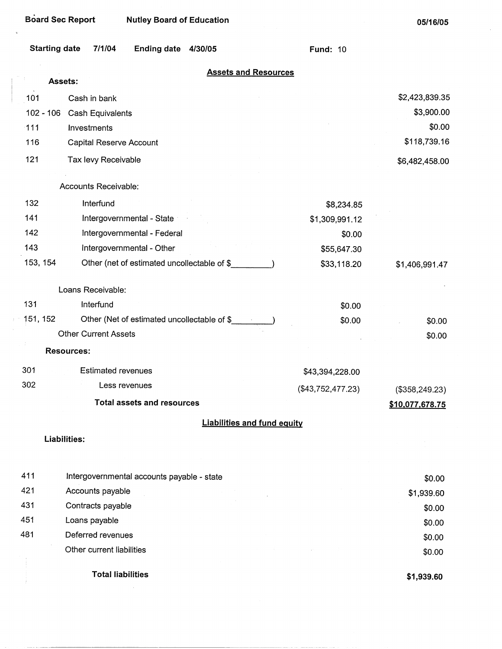$\sim$ 

| <b>Starting date</b> | 7/1/04<br>Ending date 4/30/05               | <b>Fund: 10</b>     |                 |
|----------------------|---------------------------------------------|---------------------|-----------------|
|                      | <b>Assets and Resources</b><br>Assets:      |                     |                 |
| 101                  | Cash in bank                                |                     | \$2,423,839.35  |
| $102 - 106$          | Cash Equivalents                            |                     | \$3,900.00      |
| 111                  | Investments                                 |                     | \$0.00          |
| 116                  | Capital Reserve Account                     |                     | \$118,739.16    |
| 121                  | Tax levy Receivable                         |                     | \$6,482,458.00  |
|                      | Accounts Receivable:                        |                     |                 |
| 132                  | Interfund                                   | \$8,234.85          |                 |
| 141                  | Intergovernmental - State                   | \$1,309,991.12      |                 |
| 142                  | Intergovernmental - Federal                 | \$0.00              |                 |
| 143                  | Intergovernmental - Other                   | \$55,647.30         |                 |
| 153, 154             | Other (net of estimated uncollectable of \$ | \$33,118.20         | \$1,406,991.47  |
|                      | Loans Receivable:                           |                     |                 |
| 131                  | Interfund                                   | \$0.00              |                 |
| 151, 152             | Other (Net of estimated uncollectable of \$ | \$0.00              | \$0.00          |
|                      | <b>Other Current Assets</b>                 |                     | \$0.00          |
|                      | <b>Resources:</b>                           |                     |                 |
| 301                  | <b>Estimated revenues</b>                   | \$43,394,228.00     |                 |
| 302                  | Less revenues                               | $(\$43,752,477.23)$ | (\$358, 249.23) |
|                      | <b>Total assets and resources</b>           |                     | \$10,077,678.75 |
|                      | <b>Liabilities and fund equity</b>          |                     |                 |
|                      | Liabilities:                                |                     |                 |
| 411                  | Intergovernmental accounts payable - state  |                     | \$0.00          |
| 421                  | Accounts payable                            |                     | \$1,939.60      |
| 431                  | Contracts payable                           |                     | \$0.00          |
| 451                  | Loans payable                               |                     | \$0.00          |
| 481                  | Deferred revenues                           |                     | \$0.00          |
|                      | Other current liabilities                   |                     | \$0.00          |
|                      | <b>Total liabilities</b>                    |                     | \$1,939.60      |

 $\sim$   $\sim$   $\sim$   $\sim$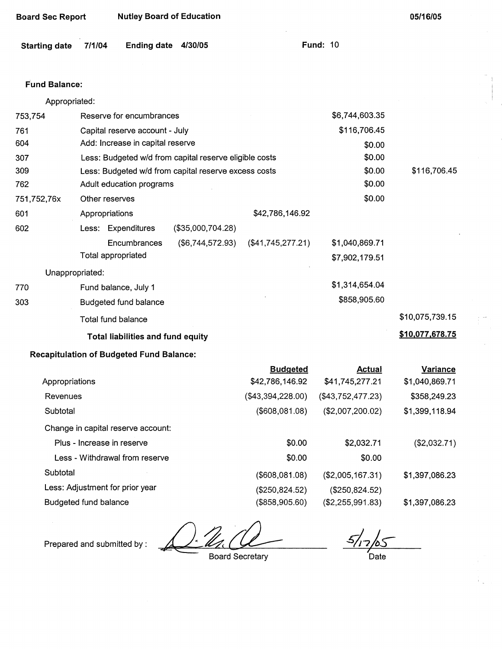| <b>Starting date</b> | <b>Ending date</b><br>7/1/04                           | 4/30/05           |                   | <b>Fund: 10</b>   |                 |
|----------------------|--------------------------------------------------------|-------------------|-------------------|-------------------|-----------------|
| <b>Fund Balance:</b> |                                                        |                   |                   |                   |                 |
| Appropriated:        |                                                        |                   |                   |                   |                 |
| 753,754              | Reserve for encumbrances                               |                   |                   | \$6,744,603.35    |                 |
| 761                  | Capital reserve account - July                         |                   |                   | \$116,706.45      |                 |
| 604                  | Add: Increase in capital reserve                       |                   |                   | \$0.00            |                 |
| 307                  | Less: Budgeted w/d from capital reserve eligible costs |                   |                   | \$0.00            |                 |
| 309                  | Less: Budgeted w/d from capital reserve excess costs   |                   |                   | \$0.00            | \$116,706.45    |
| 762                  | Adult education programs                               |                   |                   | \$0.00            |                 |
| 751,752,76x          | Other reserves                                         |                   |                   | \$0.00            |                 |
| 601                  | Appropriations                                         |                   | \$42,786,146.92   |                   |                 |
| 602                  | Less: Expenditures                                     | (\$35,000,704.28) |                   |                   |                 |
|                      | Encumbrances                                           | (\$6,744,572.93)  | (\$41,745,277.21) | \$1,040,869.71    |                 |
|                      | Total appropriated                                     |                   |                   | \$7,902,179.51    |                 |
| Unappropriated:      |                                                        |                   |                   |                   |                 |
| 770                  | Fund balance, July 1                                   |                   |                   | \$1,314,654.04    |                 |
| 303                  | Budgeted fund balance                                  |                   |                   | \$858,905.60      |                 |
|                      | Total fund balance                                     |                   |                   |                   | \$10,075,739.15 |
|                      | <b>Total liabilities and fund equity</b>               |                   |                   |                   | \$10,077,678.75 |
|                      | <b>Recapitulation of Budgeted Fund Balance:</b>        |                   |                   |                   |                 |
|                      |                                                        |                   | <b>Budgeted</b>   | <b>Actual</b>     | Variance        |
| Appropriations       |                                                        |                   | \$42,786,146.92   | \$41,745,277.21   | \$1,040,869.71  |
| Revenues             |                                                        |                   | (\$43,394,228.00) | (\$43,752,477.23) | \$358,249.23    |
| Subtotal             |                                                        |                   | (\$608,081.08)    | (\$2,007,200.02)  | \$1,399,118.94  |
|                      | Change in capital reserve account:                     |                   |                   |                   |                 |
|                      | Disse to concern to sensor                             |                   | 0 <sub>0</sub>    | 000074            | (0.002)         |

Plus - Increase in reserve \$0.00 Less - Withdrawal from reserve **\$0.00** Subtotal (\$608,081.08) Less: Adjustment for prior year (\$250,824.52) Budgeted fund balance (\$858,905.60) \$2,032.71 \$0.00 (\$2,005,167.31) (\$250,824.52) (\$2,255,991.83) (\$2,032.71) \$1,397,086.23 \$1,397,086.23

Prepared and submitted by:

Board Secretary

*I*  Date

**Board Sec Report Nutley Board of Education** 

**05/16/05**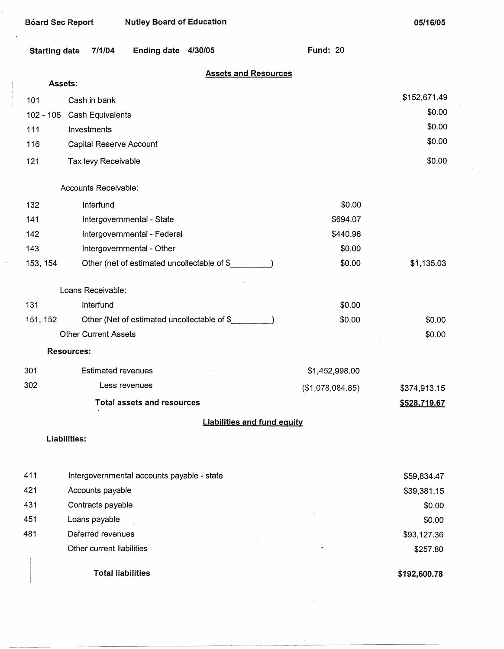L,

**05/16/05** 

 $\bar{\omega}$ 

| <b>Starting date</b> | Ending date 4/30/05<br>7/1/04               |                                    | <b>Fund: 20</b>  |                     |
|----------------------|---------------------------------------------|------------------------------------|------------------|---------------------|
| Assets:              |                                             | <b>Assets and Resources</b>        |                  |                     |
| Cash in bank<br>101  |                                             |                                    |                  | \$152,671.49        |
| $102 - 106$          | <b>Cash Equivalents</b>                     |                                    |                  | \$0.00              |
| 111<br>Investments   |                                             |                                    |                  | \$0.00              |
| 116                  | Capital Reserve Account                     |                                    |                  | \$0.00              |
| 121                  | Tax levy Receivable                         |                                    |                  | \$0.00              |
|                      | Accounts Receivable:                        |                                    |                  |                     |
| 132                  | Interfund                                   |                                    | \$0.00           |                     |
| 141                  | Intergovernmental - State                   |                                    | \$694.07         |                     |
| 142                  | Intergovernmental - Federal                 |                                    | \$440.96         |                     |
| 143                  | Intergovernmental - Other                   |                                    | \$0.00           |                     |
| 153, 154             | Other (net of estimated uncollectable of \$ |                                    | \$0.00           | \$1,135.03          |
| Loans Receivable:    |                                             |                                    |                  |                     |
| 131                  | Interfund                                   |                                    | \$0.00           |                     |
| 151, 152             | Other (Net of estimated uncollectable of \$ |                                    | \$0.00           | \$0.00              |
|                      | <b>Other Current Assets</b>                 |                                    |                  | \$0.00              |
| <b>Resources:</b>    |                                             |                                    |                  |                     |
| 301                  | <b>Estimated revenues</b>                   |                                    | \$1,452,998.00   |                     |
| 302                  | Less revenues                               |                                    | (\$1,078,084.85) | \$374,913.15        |
|                      | <b>Total assets and resources</b>           |                                    |                  | <u>\$528,719.67</u> |
|                      |                                             | <b>Liabilities and fund equity</b> |                  |                     |
| Liabilities:         |                                             |                                    |                  |                     |
| 411                  | Intergovernmental accounts payable - state  |                                    |                  | \$59,834.47         |
| 421                  | Accounts payable                            |                                    |                  | \$39,381.15         |
| 431                  | Contracts payable                           |                                    |                  | \$0.00              |
| 451<br>Loans payable |                                             |                                    |                  | \$0.00              |
| 481                  | Deferred revenues                           |                                    |                  | \$93,127.36         |
|                      | Other current liabilities                   |                                    |                  | \$257.80            |
|                      | <b>Total liabilities</b>                    |                                    |                  | \$192,600.78        |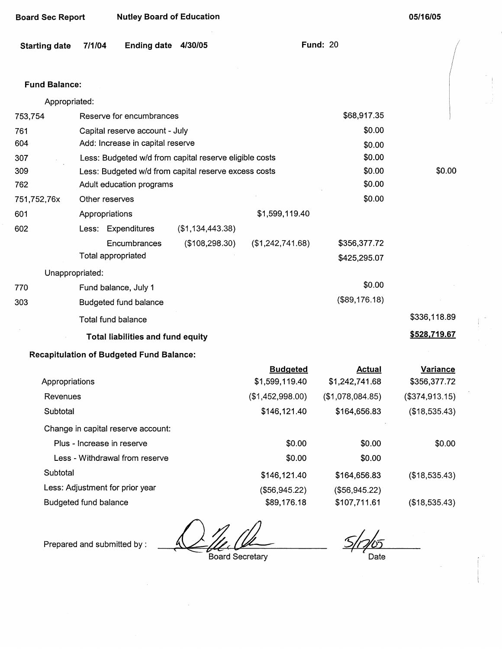| <b>Board Sec Report</b> |                            | <b>Nutley Board of Education</b>                |                                                        |                  |                  | 05/16/05        |
|-------------------------|----------------------------|-------------------------------------------------|--------------------------------------------------------|------------------|------------------|-----------------|
| <b>Starting date</b>    | 7/1/04                     | <b>Ending date</b>                              | 4/30/05                                                |                  | <b>Fund: 20</b>  |                 |
| <b>Fund Balance:</b>    |                            |                                                 |                                                        |                  |                  |                 |
| Appropriated:           |                            |                                                 |                                                        |                  |                  |                 |
| 753,754                 |                            | Reserve for encumbrances                        |                                                        |                  | \$68,917.35      |                 |
| 761                     |                            | Capital reserve account - July                  |                                                        |                  | \$0.00           |                 |
| 604                     |                            | Add: Increase in capital reserve                |                                                        |                  | \$0.00           |                 |
| 307                     |                            |                                                 | Less: Budgeted w/d from capital reserve eligible costs |                  | \$0.00           |                 |
| 309                     |                            |                                                 | Less: Budgeted w/d from capital reserve excess costs   |                  | \$0.00           | \$0.00          |
| 762                     |                            | Adult education programs                        |                                                        |                  | \$0.00           |                 |
| 751,752,76x             | Other reserves             |                                                 |                                                        |                  | \$0.00           |                 |
| 601                     | Appropriations             |                                                 |                                                        | \$1,599,119.40   |                  |                 |
| 602                     |                            | Less: Expenditures                              | (\$1,134,443.38)                                       |                  |                  |                 |
|                         |                            | Encumbrances                                    | (\$108, 298.30)                                        | (\$1,242,741.68) | \$356,377.72     |                 |
|                         | Total appropriated         |                                                 |                                                        |                  | \$425,295.07     |                 |
| Unappropriated:         |                            |                                                 |                                                        |                  |                  |                 |
| 770                     |                            | Fund balance, July 1                            |                                                        |                  | \$0.00           |                 |
| 303                     |                            | Budgeted fund balance                           |                                                        |                  | (\$89,176.18)    |                 |
|                         |                            | Total fund balance                              |                                                        |                  |                  | \$336,118.89    |
|                         |                            | Total liabilities and fund equity               |                                                        |                  |                  | \$528,719.67    |
|                         |                            | <b>Recapitulation of Budgeted Fund Balance:</b> |                                                        |                  |                  |                 |
|                         |                            |                                                 |                                                        | <b>Budgeted</b>  | <b>Actual</b>    | <b>Variance</b> |
| Appropriations          |                            |                                                 |                                                        | \$1,599,119.40   | \$1,242,741.68   | \$356,377.72    |
| Revenues                |                            |                                                 |                                                        | (\$1,452,998.00) | (\$1,078,084.85) | (\$374,913.15)  |
| Subtotal                |                            |                                                 |                                                        | \$146,121.40     | \$164,656.83     | (\$18,535.43)   |
|                         |                            | Change in capital reserve account:              |                                                        |                  |                  |                 |
|                         | Plus - Increase in reserve |                                                 |                                                        | \$0.00           | \$0.00           | \$0.00          |
|                         |                            | Less - Withdrawal from reserve                  |                                                        | \$0.00           | \$0.00           |                 |
| Subtotal                |                            |                                                 |                                                        | \$146,121.40     | \$164,656.83     | (\$18,535.43)   |
|                         |                            | Less: Adjustment for prior year                 |                                                        | (\$56,945.22)    | (\$56,945.22)    |                 |

Budgeted fund balance \$89,176.18

Prepared and submitted by :  $\frac{1}{\sqrt{U}}$ , the Board Secretary

 $5/7/5$ Date

\$107,711.61

(\$18,535.43)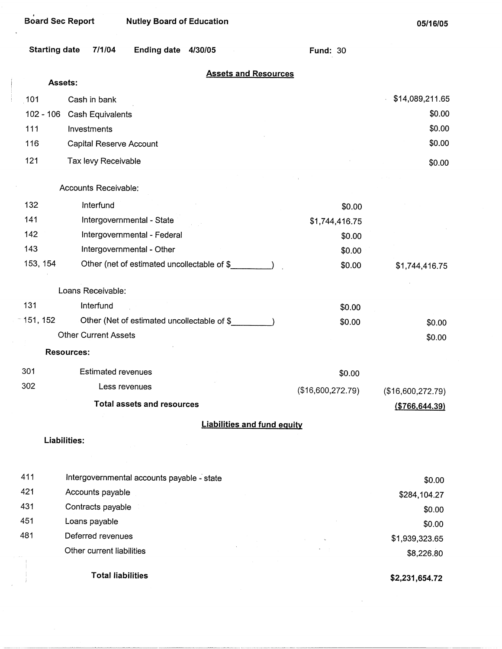|             | <b>Starting date</b><br>7/1/04<br>Ending date 4/30/05 | <b>Fund: 30</b>   |                   |
|-------------|-------------------------------------------------------|-------------------|-------------------|
|             | <b>Assets and Resources</b><br>Assets:                |                   |                   |
| 101         | Cash in bank                                          |                   | \$14,089,211.65   |
| $102 - 106$ | Cash Equivalents                                      |                   | \$0.00            |
| 111         | Investments                                           |                   | \$0.00            |
| 116         | Capital Reserve Account                               |                   | \$0.00            |
| 121         | Tax levy Receivable                                   |                   | \$0.00            |
|             | Accounts Receivable:                                  |                   |                   |
| 132         | Interfund                                             | \$0.00            |                   |
| 141         | Intergovernmental - State                             | \$1,744,416.75    |                   |
| 142         | Intergovernmental - Federal                           | \$0.00            |                   |
| 143         | Intergovernmental - Other                             | \$0.00            |                   |
| 153, 154    | Other (net of estimated uncollectable of \$           | \$0.00            | \$1,744,416.75    |
|             | Loans Receivable:                                     |                   |                   |
| 131         | Interfund                                             | \$0.00            |                   |
| $-151, 152$ | Other (Net of estimated uncollectable of \$           | \$0.00            | \$0.00            |
|             | <b>Other Current Assets</b>                           |                   | \$0.00            |
|             | <b>Resources:</b>                                     |                   |                   |
| 301         | <b>Estimated revenues</b>                             | \$0.00            |                   |
| 302         | Less revenues                                         | (\$16,600,272.79) | (\$16,600,272.79) |
|             | <b>Total assets and resources</b>                     |                   | ( \$766, 644.39)  |
|             | <b>Liabilities and fund equity</b>                    |                   |                   |
|             | Liabilities:                                          |                   |                   |
|             |                                                       |                   |                   |
| 411         | Intergovernmental accounts payable - state            |                   | \$0.00            |
| 421         | Accounts payable                                      |                   | \$284,104.27      |
| 431         | Contracts payable                                     |                   | \$0.00            |
| 451         | Loans payable                                         |                   | \$0.00            |
| 481         | Deferred revenues                                     |                   | \$1,939,323.65    |
|             | Other current liabilities                             |                   | \$8,226.80        |
|             | <b>Total liabilities</b>                              |                   | \$2,231,654.72    |

 $\bar{z}$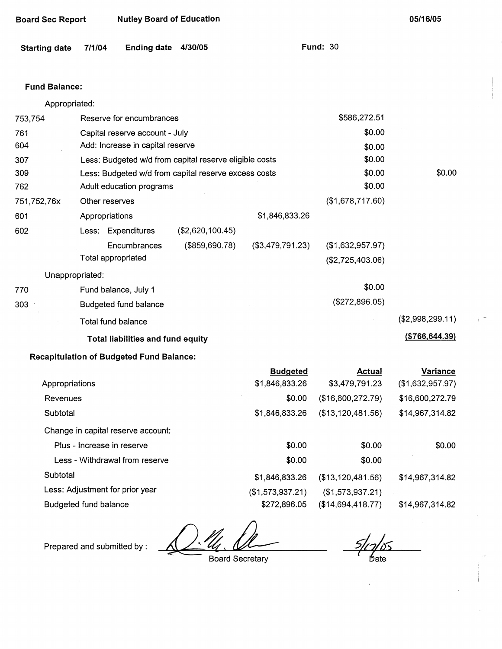| <b>Board Sec Report</b> |                 | <b>Nutley Board of Education</b>                |                                                        |                  |                                      | 05/16/05         |
|-------------------------|-----------------|-------------------------------------------------|--------------------------------------------------------|------------------|--------------------------------------|------------------|
| <b>Starting date</b>    | 7/1/04          | <b>Ending date</b>                              | 4/30/05                                                |                  | <b>Fund: 30</b>                      |                  |
| <b>Fund Balance:</b>    |                 |                                                 |                                                        |                  |                                      |                  |
|                         | Appropriated:   |                                                 |                                                        |                  |                                      |                  |
| 753,754                 |                 | Reserve for encumbrances                        |                                                        |                  | \$586,272.51                         |                  |
| 761                     |                 | Capital reserve account - July                  |                                                        |                  | \$0.00                               |                  |
| 604                     |                 | Add: Increase in capital reserve                |                                                        |                  | \$0.00                               |                  |
| 307                     |                 |                                                 | Less: Budgeted w/d from capital reserve eligible costs |                  | \$0.00                               |                  |
| 309                     |                 |                                                 | Less: Budgeted w/d from capital reserve excess costs   |                  | \$0.00                               | \$0.00           |
| 762                     |                 | Adult education programs                        | \$0.00                                                 |                  |                                      |                  |
| 751,752,76x             |                 | Other reserves                                  |                                                        |                  | (\$1,678,717.60)                     |                  |
| 601                     |                 | Appropriations                                  |                                                        | \$1,846,833.26   |                                      |                  |
| 602                     |                 | Less: Expenditures                              | (\$2,620,100.45)                                       |                  |                                      |                  |
|                         |                 | Encumbrances<br>Total appropriated              | (\$859,690.78)                                         | (\$3,479,791.23) | (\$1,632,957.97)<br>(\$2,725,403.06) |                  |
|                         | Unappropriated: |                                                 |                                                        |                  |                                      |                  |
| 770                     |                 | Fund balance, July 1                            |                                                        |                  | \$0.00                               |                  |
| 303                     |                 | Budgeted fund balance                           |                                                        |                  | (\$272,896.05)                       |                  |
|                         |                 | <b>Total fund balance</b>                       |                                                        |                  |                                      | (\$2,998,299.11) |
|                         |                 | <b>Total liabilities and fund equity</b>        |                                                        |                  |                                      | ( \$766, 644.39) |
|                         |                 | <b>Recapitulation of Budgeted Fund Balance:</b> |                                                        |                  |                                      |                  |
|                         |                 |                                                 |                                                        | <b>Budgeted</b>  | <b>Actual</b>                        | <b>Variance</b>  |
|                         | Appropriations  |                                                 |                                                        | \$1,846,833.26   | \$3,479,791.23                       | (\$1,632,957.97) |
| Revenues                |                 |                                                 |                                                        | \$0.00           | (\$16,600,272.79)                    | \$16,600,272.79  |
| Subtotal                |                 |                                                 |                                                        | \$1,846,833.26   | (\$13,120,481.56)                    | \$14,967,314.82  |
|                         |                 | Change in capital reserve account:              |                                                        |                  |                                      |                  |
|                         |                 | Plus - Increase in reserve                      |                                                        | \$0.00           | \$0.00                               | \$0.00           |
|                         |                 | Less - Withdrawal from reserve                  |                                                        | \$0.00           | \$0.00                               |                  |

**Subtotal** 

Less: Adjustment for prior year

Budgeted fund balance

Prepared and submitted by :

Board Secretary

\$1,846,833.26 (\$1,573,937.21) \$272,896.05

Ďate

\$14,967,314.82

\$14,967,314.82

(\$13,120,481.56) (\$1,573,937.21) (\$14,694,418.77)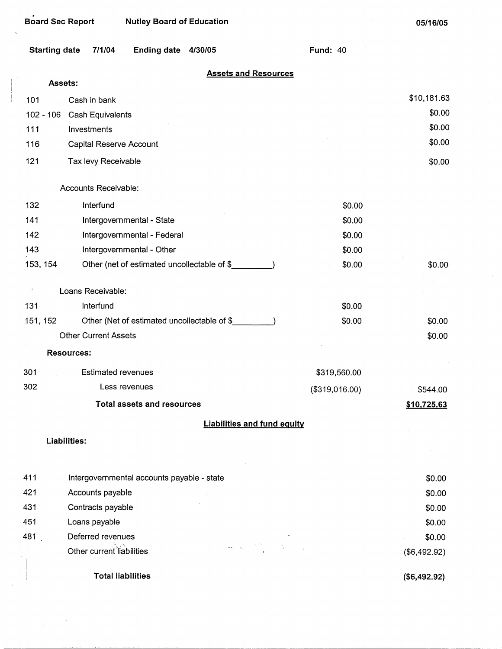$\bar{z}$ 

 $\hat{\boldsymbol{\theta}}$ 

| <b>Starting date</b> | 7/1/04<br><b>Ending date</b><br>4/30/05      | <b>Fund: 40</b> |              |
|----------------------|----------------------------------------------|-----------------|--------------|
| Assets:              | <b>Assets and Resources</b>                  |                 |              |
| 101                  | Cash in bank                                 |                 | \$10,181.63  |
| $102 - 106$          | Cash Equivalents                             |                 | \$0.00       |
| 111                  | Investments                                  |                 | \$0.00       |
| 116                  | <b>Capital Reserve Account</b>               |                 | \$0.00       |
| 121                  | Tax levy Receivable                          |                 | \$0.00       |
|                      | Accounts Receivable:                         |                 |              |
| 132                  | Interfund                                    | \$0.00          |              |
| 141                  | Intergovernmental - State                    | \$0.00          |              |
| 142                  | Intergovernmental - Federal                  | \$0.00          |              |
| 143                  | Intergovernmental - Other                    | \$0.00          |              |
| 153, 154             | Other (net of estimated uncollectable of \$_ | \$0.00          | \$0.00       |
|                      | Loans Receivable:                            |                 |              |
| 131                  | Interfund                                    | \$0.00          |              |
| 151, 152             | Other (Net of estimated uncollectable of \$  | \$0.00          | \$0.00       |
|                      | <b>Other Current Assets</b>                  |                 | \$0.00       |
|                      | <b>Resources:</b>                            |                 |              |
| 301                  | Estimated revenues                           | \$319,560.00    |              |
| 302                  | Less revenues                                | (\$319,016.00)  | \$544.00     |
|                      | <b>Total assets and resources</b>            |                 | \$10,725.63  |
|                      | <b>Liabilities and fund equity</b>           |                 |              |
|                      | Liabilities:                                 |                 |              |
|                      |                                              |                 |              |
| 411                  | Intergovernmental accounts payable - state   |                 | \$0.00       |
| 421                  | Accounts payable                             |                 | \$0.00       |
| 431                  | Contracts payable                            |                 | \$0.00       |
| 451                  | Loans payable                                |                 | \$0.00       |
| 481.                 | Deferred revenues                            |                 | \$0.00       |
|                      | Other current liabilities                    |                 | (\$6,492.92) |
|                      | <b>Total liabilities</b>                     |                 | (\$6,492.92) |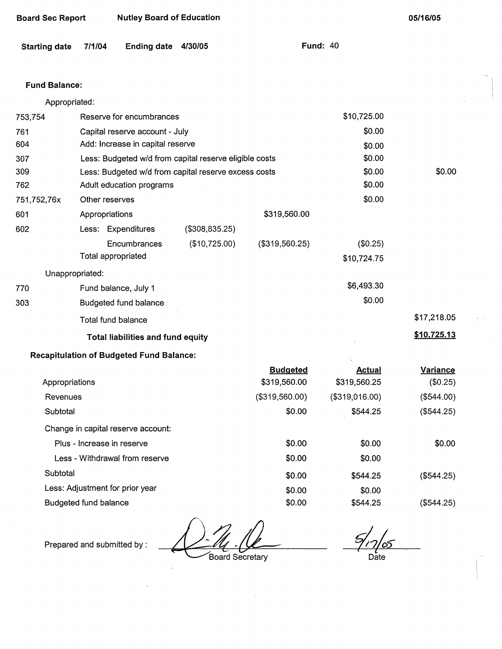| <b>Starting date</b> | 7/1/04<br><b>Ending date</b>                    | 4/30/05                                                |                 | <b>Fund: 40</b> |                    |
|----------------------|-------------------------------------------------|--------------------------------------------------------|-----------------|-----------------|--------------------|
| <b>Fund Balance:</b> |                                                 |                                                        |                 |                 |                    |
| Appropriated:        |                                                 |                                                        |                 |                 |                    |
| 753,754              | Reserve for encumbrances                        |                                                        |                 | \$10,725.00     |                    |
| 761                  | Capital reserve account - July                  |                                                        |                 | \$0.00          |                    |
| 604                  | Add: Increase in capital reserve                |                                                        |                 | \$0.00          |                    |
| 307                  |                                                 | Less: Budgeted w/d from capital reserve eligible costs |                 | \$0.00          |                    |
| 309                  |                                                 | Less: Budgeted w/d from capital reserve excess costs   |                 | \$0.00          | \$0.00             |
| 762                  | Adult education programs                        |                                                        |                 | \$0.00          |                    |
| 751,752,76x          | Other reserves                                  |                                                        |                 | \$0.00          |                    |
| 601                  | Appropriations                                  |                                                        | \$319,560.00    |                 |                    |
| 602                  | Less: Expenditures                              | (\$308,835.25)                                         |                 |                 |                    |
|                      | Encumbrances                                    | (\$10,725.00)                                          | (\$319,560.25)  | (\$0.25)        |                    |
|                      | Total appropriated                              |                                                        |                 | \$10,724.75     |                    |
| Unappropriated:      |                                                 |                                                        |                 |                 |                    |
| 770                  | Fund balance, July 1                            |                                                        |                 | \$6,493.30      |                    |
| 303                  | <b>Budgeted fund balance</b>                    |                                                        |                 | \$0.00          |                    |
|                      | Total fund balance                              |                                                        |                 |                 | \$17,218.05        |
|                      | Total liabilities and fund equity               |                                                        |                 |                 | <u>\$10,725.13</u> |
|                      | <b>Recapitulation of Budgeted Fund Balance:</b> |                                                        |                 |                 |                    |
|                      |                                                 |                                                        | <b>Budgeted</b> | <b>Actual</b>   | Variance           |
| Appropriations       |                                                 |                                                        | \$319,560.00    | \$319,560.25    | (\$0.25)           |
| Revenues             |                                                 |                                                        | (\$319,560.00)  | (\$319,016.00)  | (\$544.00)         |
| Subtotal             |                                                 |                                                        | \$0.00          | \$544.25        | (\$544.25)         |
|                      | Change in capital reserve account:              |                                                        |                 |                 |                    |
|                      | Plus - Increase in reserve                      |                                                        | \$0.00          | \$0.00          | \$0.00             |
|                      | Less - Withdrawal from reserve                  |                                                        | \$0.00          | \$0.00          |                    |
| Subtotal             |                                                 |                                                        | \$0.00          | \$544.25        | (\$544.25)         |
|                      | Less: Adjustment for prior year                 |                                                        | \$0.00          | \$0.00          |                    |
|                      | Budgeted fund balance                           |                                                        | \$0.00          | \$544.25        | (\$544.25)         |

Prepared and submitted by :<br>Board Secretary

**Board Sec Report Nutley Board of Education** 

 $\frac{6}{100}$ 

**05/16/05** 

 $\mathsf{Date}$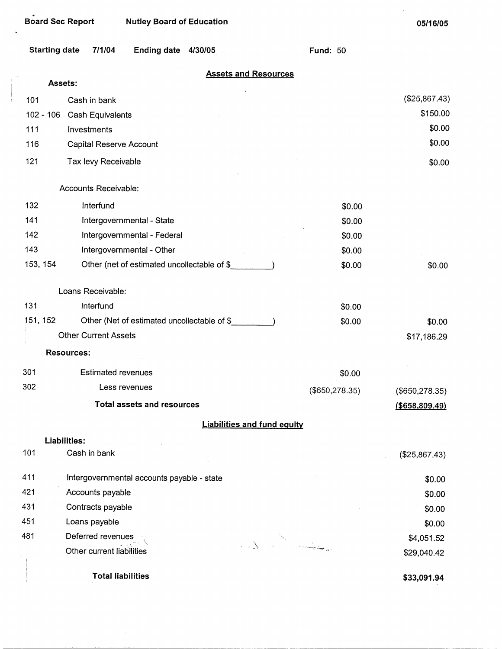i

| <b>Starting date</b> | 7/1/04                      | Ending date 4/30/05                         |                                    | <b>Fund: 50</b>  |                  |
|----------------------|-----------------------------|---------------------------------------------|------------------------------------|------------------|------------------|
|                      | Assets:                     |                                             | <b>Assets and Resources</b>        |                  |                  |
| 101                  | Cash in bank                |                                             |                                    |                  | (\$25,867.43)    |
| $102 - 106$          | Cash Equivalents            |                                             |                                    |                  | \$150.00         |
| 111                  | Investments                 |                                             |                                    |                  | \$0.00           |
| 116                  | Capital Reserve Account     |                                             |                                    |                  | \$0.00           |
|                      |                             |                                             |                                    |                  |                  |
| 121                  | Tax levy Receivable         |                                             |                                    |                  | \$0.00           |
|                      | Accounts Receivable:        |                                             |                                    |                  |                  |
| 132                  | Interfund                   |                                             |                                    | \$0.00           |                  |
| 141                  |                             | Intergovernmental - State                   |                                    | \$0.00           |                  |
| 142                  |                             | Intergovernmental - Federal                 |                                    | \$0.00           |                  |
| 143                  |                             | Intergovernmental - Other                   |                                    | \$0.00           |                  |
| 153, 154             |                             | Other (net of estimated uncollectable of \$ |                                    | \$0.00           | \$0.00           |
|                      | Loans Receivable:           |                                             |                                    |                  |                  |
| 131                  | Interfund                   |                                             |                                    | \$0.00           |                  |
| 151, 152             |                             | Other (Net of estimated uncollectable of \$ |                                    | \$0.00           | \$0.00           |
|                      | <b>Other Current Assets</b> |                                             |                                    |                  | \$17,186.29      |
|                      | <b>Resources:</b>           |                                             |                                    |                  |                  |
| 301                  | <b>Estimated revenues</b>   |                                             |                                    | \$0.00           |                  |
| 302                  |                             | Less revenues                               |                                    | $(\$650,278.35)$ | (\$650, 278.35)  |
|                      |                             | <b>Total assets and resources</b>           |                                    |                  | ( \$658, 809.49) |
|                      |                             |                                             | <b>Liabilities and fund equity</b> |                  |                  |
|                      | Liabilities:                |                                             |                                    |                  |                  |
| 101                  | Cash in bank                |                                             |                                    |                  | (\$25,867.43)    |
| 411                  |                             | Intergovernmental accounts payable - state  |                                    |                  | \$0.00           |
| 421                  | Accounts payable            |                                             |                                    |                  | \$0.00           |
| 431                  | Contracts payable           |                                             |                                    |                  | \$0.00           |
| 451                  | Loans payable               |                                             |                                    |                  | \$0.00           |
| 481                  | Deferred revenues           |                                             |                                    |                  | \$4,051.52       |
|                      | Other current liabilities   |                                             |                                    |                  | \$29,040.42      |
|                      | <b>Total liabilities</b>    |                                             |                                    |                  | \$33,091.94      |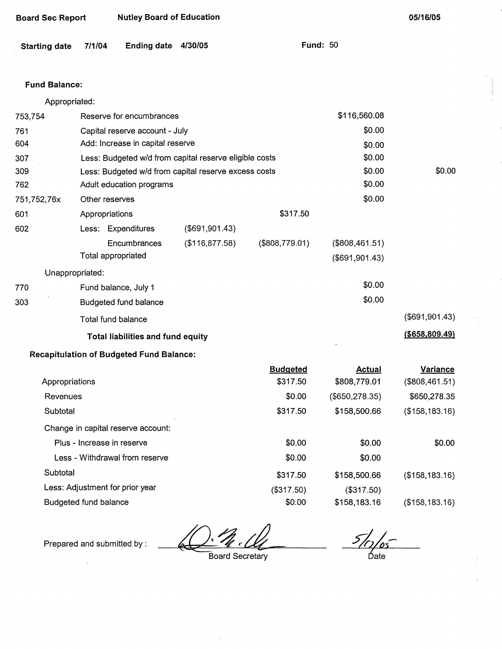| <b>Starting date</b> | 7/1/04                                                 | Ending date 4/30/05 |                 | <b>Fund: 50</b> |                  |
|----------------------|--------------------------------------------------------|---------------------|-----------------|-----------------|------------------|
| <b>Fund Balance:</b> |                                                        |                     |                 |                 |                  |
| Appropriated:        |                                                        |                     |                 |                 |                  |
| 753,754              | Reserve for encumbrances                               |                     |                 | \$116,560.08    |                  |
| 761                  | Capital reserve account - July                         |                     |                 | \$0.00          |                  |
| 604                  | Add: Increase in capital reserve                       |                     |                 | \$0.00          |                  |
| 307                  | Less: Budgeted w/d from capital reserve eligible costs |                     |                 | \$0.00          |                  |
| 309                  | Less: Budgeted w/d from capital reserve excess costs   |                     |                 | \$0.00          | \$0.00           |
| 762                  | Adult education programs                               |                     |                 | \$0.00          |                  |
| 751,752,76x          | Other reserves                                         |                     |                 | \$0.00          |                  |
| 601                  | Appropriations                                         |                     | \$317.50        |                 |                  |
| 602                  | Less: Expenditures                                     | (\$691,901.43)      |                 |                 |                  |
|                      | Encumbrances                                           | (\$116,877.58)      | (\$808,779.01)  | (\$808,461.51)  |                  |
|                      | Total appropriated                                     |                     |                 | (\$691,901.43)  |                  |
| Unappropriated:      |                                                        |                     |                 |                 |                  |
| 770                  | Fund balance, July 1                                   |                     |                 | \$0.00          |                  |
| 303                  | Budgeted fund balance                                  |                     |                 | \$0.00          |                  |
|                      | Total fund balance                                     |                     |                 |                 | (\$691,901.43)   |
|                      | <b>Total liabilities and fund equity</b>               |                     |                 |                 | ( \$658, 809.49) |
|                      | <b>Recapitulation of Budgeted Fund Balance:</b>        |                     |                 |                 |                  |
|                      |                                                        |                     | <b>Budgeted</b> | <b>Actual</b>   | <b>Variance</b>  |
| Appropriations       |                                                        |                     | \$317.50        | \$808,779.01    | (\$808,461.51)   |
| Revenues             |                                                        |                     | \$0.00          | (\$650, 278.35) | \$650,278.35     |
| Subtotal             |                                                        |                     | \$317.50        | \$158,500.66    | (\$158, 183.16)  |
|                      | Change in capital reserve account:                     |                     |                 |                 |                  |
|                      | Plus - Increase in reserve                             |                     | \$0.00          | \$0.00          | \$0.00           |
|                      | Less - Withdrawal from reserve                         |                     | \$0.00          | \$0.00          |                  |

Subtotal

Less: Adjustment for prior year

Board Sec Report Nutley Board of Education

Budgeted fund balance

Prepared and submitted by :

Board Secretary

\$317.50 (\$317.50) \$0.00

 $\frac{5}{\frac{1}{2}}$  bate

(\$158,183.16)

(\$158,183.16)

**05/16/05** 

\$158,500.66 (\$317.50) \$158,183.16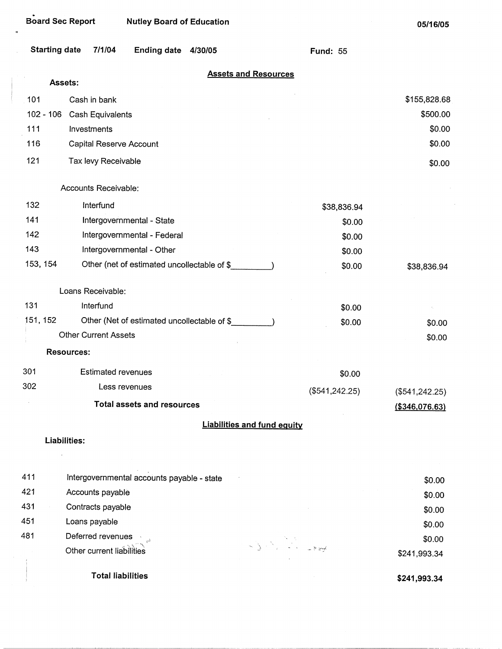| <b>Board Sec Report</b> |                             | <b>Nutley Board of Education</b>            |         |                                    |                 | 05/16/05         |
|-------------------------|-----------------------------|---------------------------------------------|---------|------------------------------------|-----------------|------------------|
| <b>Starting date</b>    | 7/1/04                      | <b>Ending date</b>                          | 4/30/05 |                                    | <b>Fund: 55</b> |                  |
|                         | Assets:                     |                                             |         | <b>Assets and Resources</b>        |                 |                  |
| 101                     | Cash in bank                |                                             |         |                                    |                 | \$155,828.68     |
| $102 - 106$             | Cash Equivalents            |                                             |         |                                    |                 | \$500.00         |
| 111                     | Investments                 |                                             |         |                                    |                 | \$0.00           |
| 116                     | Capital Reserve Account     |                                             |         |                                    |                 | \$0.00           |
| 121                     | Tax levy Receivable         |                                             |         |                                    |                 | \$0.00           |
|                         | Accounts Receivable:        |                                             |         |                                    |                 |                  |
| 132                     | Interfund                   |                                             |         |                                    | \$38,836.94     |                  |
| 141                     |                             | Intergovernmental - State                   |         |                                    | \$0.00          |                  |
| 142                     |                             | Intergovernmental - Federal                 |         |                                    | \$0.00          |                  |
| 143                     |                             | Intergovernmental - Other                   |         |                                    | \$0.00          |                  |
| 153, 154                |                             | Other (net of estimated uncollectable of \$ |         |                                    | \$0.00          | \$38,836.94      |
|                         | Loans Receivable:           |                                             |         |                                    |                 |                  |
| 131                     | Interfund                   |                                             |         |                                    | \$0.00          |                  |
| 151, 152                |                             | Other (Net of estimated uncollectable of \$ |         |                                    | \$0.00          | \$0.00           |
|                         | <b>Other Current Assets</b> |                                             |         |                                    |                 | \$0.00           |
|                         | <b>Resources:</b>           |                                             |         |                                    |                 |                  |
| 301                     | <b>Estimated revenues</b>   |                                             |         |                                    | \$0.00          |                  |
| 302                     |                             | Less revenues                               |         |                                    | (\$541, 242.25) | $(\$541,242.25)$ |
|                         |                             | <b>Total assets and resources</b>           |         |                                    |                 | ( \$346,076.63)  |
|                         |                             |                                             |         | <b>Liabilities and fund equity</b> |                 |                  |
|                         | Liabilities:                |                                             |         |                                    |                 |                  |
| 411                     |                             | Intergovernmental accounts payable - state  |         |                                    |                 | \$0.00           |
| 421                     | Accounts payable            |                                             |         |                                    |                 | \$0.00           |
| 431                     | Contracts payable           |                                             |         |                                    |                 | \$0.00           |
| 451                     | Loans payable               |                                             |         |                                    |                 | \$0.00           |
| 481                     | Deferred revenues           |                                             |         |                                    |                 | \$0.00           |
|                         | Other current liabilities   |                                             |         |                                    |                 | \$241,993.34     |

**Total liabilities** 

.,

**\$241,993.34**